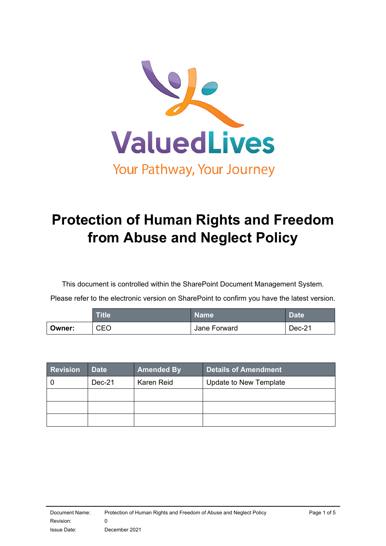

# **Protection of Human Rights and Freedom from Abuse and Neglect Policy**

This document is controlled within the SharePoint Document Management System.

Please refer to the electronic version on SharePoint to confirm you have the latest version.

|        | <b>Fitle</b> | <b>Name</b>  | <b>Date</b> |
|--------|--------------|--------------|-------------|
| Owner: | CEO          | Jane Forward | $Dec-21$    |

| <b>Revision</b> | <b>Date</b> | <b>Amended By</b> | <b>Details of Amendment</b> |
|-----------------|-------------|-------------------|-----------------------------|
|                 | Dec-21      | Karen Reid        | Update to New Template      |
|                 |             |                   |                             |
|                 |             |                   |                             |
|                 |             |                   |                             |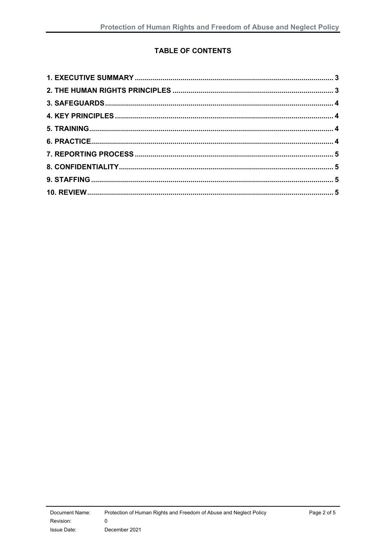#### **TABLE OF CONTENTS**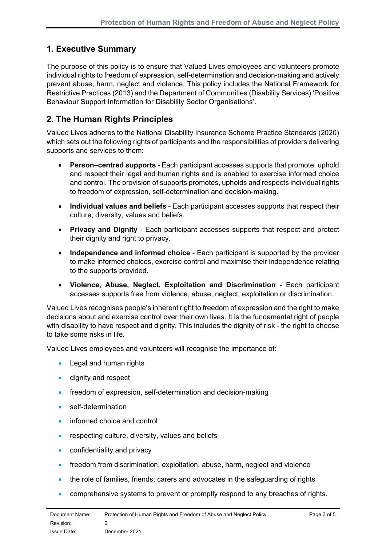## <span id="page-2-0"></span>**1. Executive Summary**

The purpose of this policy is to ensure that Valued Lives employees and volunteers promote individual rights to freedom of expression, self-determination and decision-making and actively prevent abuse, harm, neglect and violence. This policy includes the National Framework for Restrictive Practices (2013) and the Department of Communities (Disability Services) 'Positive Behaviour Support Information for Disability Sector Organisations'.

#### <span id="page-2-1"></span>**2. The Human Rights Principles**

Valued Lives adheres to the National Disability Insurance Scheme Practice Standards (2020) which sets out the following rights of participants and the responsibilities of providers delivering supports and services to them:

- **Person–centred supports** Each participant accesses supports that promote, uphold and respect their legal and human rights and is enabled to exercise informed choice and control. The provision of supports promotes, upholds and respects individual rights to freedom of expression, self-determination and decision-making.
- **Individual values and beliefs** Each participant accesses supports that respect their culture, diversity, values and beliefs.
- **Privacy and Dignity** Each participant accesses supports that respect and protect their dignity and right to privacy.
- **Independence and informed choice** Each participant is supported by the provider to make informed choices, exercise control and maximise their independence relating to the supports provided.
- **Violence, Abuse, Neglect, Exploitation and Discrimination** Each participant accesses supports free from violence, abuse, neglect, exploitation or discrimination.

Valued Lives recognises people's inherent right to freedom of expression and the right to make decisions about and exercise control over their own lives. It is the fundamental right of people with disability to have respect and dignity. This includes the dignity of risk - the right to choose to take some risks in life.

Valued Lives employees and volunteers will recognise the importance of:

- Legal and human rights
- dignity and respect
- freedom of expression, self-determination and decision-making
- self-determination
- informed choice and control
- respecting culture, diversity, values and beliefs
- confidentiality and privacy
- freedom from discrimination, exploitation, abuse, harm, neglect and violence
- the role of families, friends, carers and advocates in the safeguarding of rights
- comprehensive systems to prevent or promptly respond to any breaches of rights.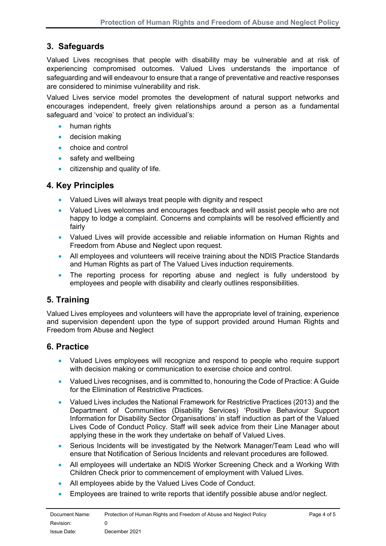#### <span id="page-3-0"></span>**3. Safeguards**

Valued Lives recognises that people with disability may be vulnerable and at risk of experiencing compromised outcomes. Valued Lives understands the importance of safeguarding and will endeavour to ensure that a range of preventative and reactive responses are considered to minimise vulnerability and risk.

Valued Lives service model promotes the development of natural support networks and encourages independent, freely given relationships around a person as a fundamental safeguard and 'voice' to protect an individual's:

- human rights
- decision making
- choice and control
- safety and wellbeing
- citizenship and quality of life.

#### <span id="page-3-1"></span>**4. Key Principles**

- Valued Lives will always treat people with dignity and respect
- Valued Lives welcomes and encourages feedback and will assist people who are not happy to lodge a complaint. Concerns and complaints will be resolved efficiently and fairly
- Valued Lives will provide accessible and reliable information on Human Rights and Freedom from Abuse and Neglect upon request.
- All employees and volunteers will receive training about the NDIS Practice Standards and Human Rights as part of The Valued Lives induction requirements.
- The reporting process for reporting abuse and neglect is fully understood by employees and people with disability and clearly outlines responsibilities.

## <span id="page-3-2"></span>**5. Training**

Valued Lives employees and volunteers will have the appropriate level of training, experience and supervision dependent upon the type of support provided around Human Rights and Freedom from Abuse and Neglect

#### <span id="page-3-3"></span>**6. Practice**

- Valued Lives employees will recognize and respond to people who require support with decision making or communication to exercise choice and control.
- Valued Lives recognises, and is committed to, honouring the Code of Practice: A Guide for the Elimination of Restrictive Practices.
- Valued Lives includes the National Framework for Restrictive Practices (2013) and the Department of Communities (Disability Services) 'Positive Behaviour Support Information for Disability Sector Organisations' in staff induction as part of the Valued Lives Code of Conduct Policy. Staff will seek advice from their Line Manager about applying these in the work they undertake on behalf of Valued Lives.
- Serious Incidents will be investigated by the Network Manager/Team Lead who will ensure that Notification of Serious Incidents and relevant procedures are followed.
- All employees will undertake an NDIS Worker Screening Check and a Working With Children Check prior to commencement of employment with Valued Lives.
- All employees abide by the Valued Lives Code of Conduct.
- Employees are trained to write reports that identify possible abuse and/or neglect.